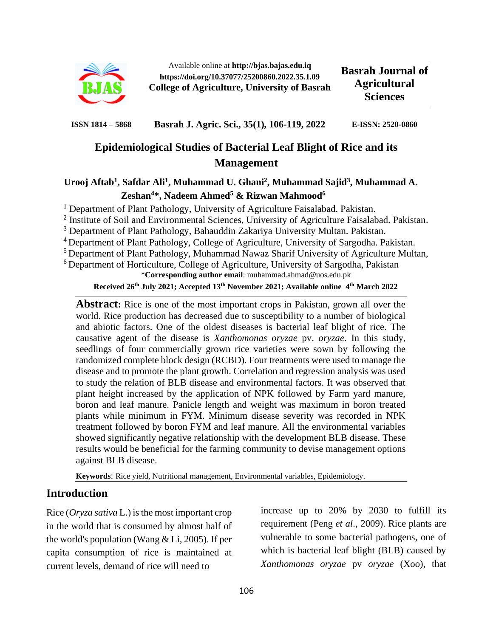

Available online at **http://bjas.bajas.edu.iq https://doi.org/10.37077/25200860.2022.35.1.09 College of Agriculture, University of Basrah**

**Basrah Journal of Agricultural Sciences**

**ISSN 1814 – 5868 Basrah J. Agric. Sci., 35(1), 106-119, 2022 E-ISSN: 2520-0860**

# **Epidemiological Studies of Bacterial Leaf Blight of Rice and its Management**

## Urooj Aftab<sup>1</sup>, Safdar Ali<sup>1</sup>, Muhammad U. Ghani<sup>2</sup>, Muhammad Sajid<sup>3</sup>, Muhammad A. **Zeshan<sup>4</sup>\*, Nadeem Ahmed<sup>5</sup> & Rizwan Mahmood<sup>6</sup>**

<sup>1</sup> Department of Plant Pathology, University of Agriculture Faisalabad. Pakistan.

<sup>2</sup> Institute of Soil and Environmental Sciences, University of Agriculture Faisalabad. Pakistan.

<sup>3</sup> Department of Plant Pathology, Bahauddin Zakariya University Multan. Pakistan.

<sup>4</sup>Department of Plant Pathology, College of Agriculture, University of Sargodha. Pakistan.

<sup>5</sup> Department of Plant Pathology, Muhammad Nawaz Sharif University of Agriculture Multan,

<sup>6</sup> Department of Horticulture, College of Agriculture, University of Sargodha, Pakistan

\***Corresponding author email**: [muhammad.ahmad@uos.edu.pk](mailto:muhammad.ahmad@uos.edu.pk)

**Received 26th July 2021; Accepted 13th November 2021; Available online 4 th March 2022**

**Abstract:** Rice is one of the most important crops in Pakistan, grown all over the world. Rice production has decreased due to susceptibility to a number of biological and abiotic factors. One of the oldest diseases is bacterial leaf blight of rice. The causative agent of the disease is *Xanthomonas oryzae* pv. *oryzae*. In this study, seedlings of four commercially grown rice varieties were sown by following the randomized complete block design (RCBD). Four treatments were used to manage the disease and to promote the plant growth. Correlation and regression analysis was used to study the relation of BLB disease and environmental factors. It was observed that plant height increased by the application of NPK followed by Farm yard manure, boron and leaf manure. Panicle length and weight was maximum in boron treated plants while minimum in FYM. Minimum disease severity was recorded in NPK treatment followed by boron FYM and leaf manure. All the environmental variables showed significantly negative relationship with the development BLB disease. These results would be beneficial for the farming community to devise management options against BLB disease.

**Keywords**: Rice yield, Nutritional management, Environmental variables, Epidemiology.

## **Introduction**

Rice (*Oryza sativa* L.) is the most important crop in the world that is consumed by almost half of the world's population (Wang & Li, 2005). If per capita consumption of rice is maintained at current levels, demand of rice will need to

increase up to 20% by 2030 to fulfill its requirement (Peng *et al*., 2009). Rice plants are vulnerable to some bacterial pathogens, one of which is bacterial leaf blight (BLB) caused by *Xanthomonas oryzae* pv *oryzae* (Xoo), that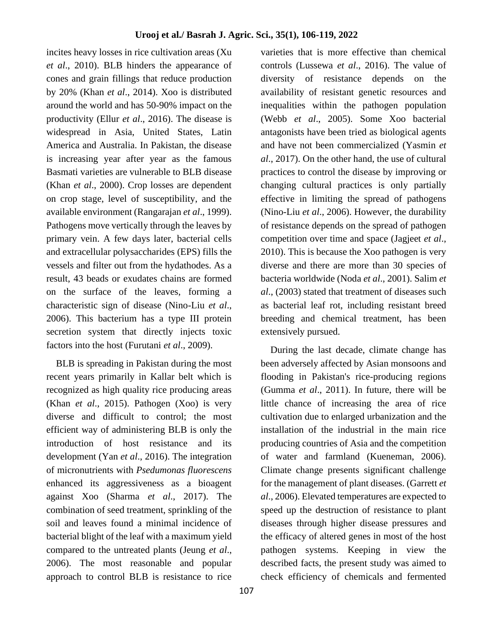incites heavy losses in rice cultivation areas (Xu *et al*., 2010). BLB hinders the appearance of cones and grain fillings that reduce production by 20% (Khan *et al*., 2014). Xoo is distributed around the world and has 50-90% impact on the productivity (Ellur *et al*., 2016). The disease is widespread in Asia, United States, Latin America and Australia. In Pakistan, the disease is increasing year after year as the famous Basmati varieties are vulnerable to BLB disease (Khan *et al*., 2000). Crop losses are dependent on crop stage, level of susceptibility, and the available environment (Rangarajan *et al*., 1999). Pathogens move vertically through the leaves by primary vein. A few days later, bacterial cells and extracellular polysaccharides (EPS) fills the vessels and filter out from the hydathodes. As a result, 43 beads or exudates chains are formed on the surface of the leaves, forming a characteristic sign of disease (Nino-Liu *et al*., 2006). This bacterium has a type III protein secretion system that directly injects toxic factors into the host (Furutani *et al*., 2009).

 BLB is spreading in Pakistan during the most recent years primarily in Kallar belt which is recognized as high quality rice producing areas (Khan *et al*., 2015). Pathogen (Xoo) is very diverse and difficult to control; the most efficient way of administering BLB is only the introduction of host resistance and its development (Yan *et al*., 2016). The integration of micronutrients with *Psedumonas fluorescens* enhanced its aggressiveness as a bioagent against Xoo (Sharma *et al*., 2017). The combination of seed treatment, sprinkling of the soil and leaves found a minimal incidence of bacterial blight of the leaf with a maximum yield compared to the untreated plants (Jeung *et al*., 2006). The most reasonable and popular approach to control BLB is resistance to rice

controls (Lussewa *et al*., 2016). The value of diversity of resistance depends on the availability of resistant genetic resources and inequalities within the pathogen population (Webb *et al*., 2005). Some Xoo bacterial antagonists have been tried as biological agents and have not been commercialized (Yasmin *et al*., 2017). On the other hand, the use of cultural practices to control the disease by improving or changing cultural practices is only partially effective in limiting the spread of pathogens (Nino-Liu *et al*., 2006). However, the durability of resistance depends on the spread of pathogen competition over time and space (Jagjeet *et al*., 2010). This is because the Xoo pathogen is very diverse and there are more than 30 species of bacteria worldwide (Noda *et al*., 2001). Salim *et al*., (2003) stated that treatment of diseases such as bacterial leaf rot, including resistant breed breeding and chemical treatment, has been extensively pursued.

varieties that is more effective than chemical

 During the last decade, climate change has been adversely affected by Asian monsoons and flooding in Pakistan's rice-producing regions (Gumma *et al*., 2011). In future, there will be little chance of increasing the area of rice cultivation due to enlarged urbanization and the installation of the industrial in the main rice producing countries of Asia and the competition of water and farmland (Kueneman, 2006). Climate change presents significant challenge for the management of plant diseases. (Garrett *et al*., 2006). Elevated temperatures are expected to speed up the destruction of resistance to plant diseases through higher disease pressures and the efficacy of altered genes in most of the host pathogen systems. Keeping in view the described facts, the present study was aimed to check efficiency of chemicals and fermented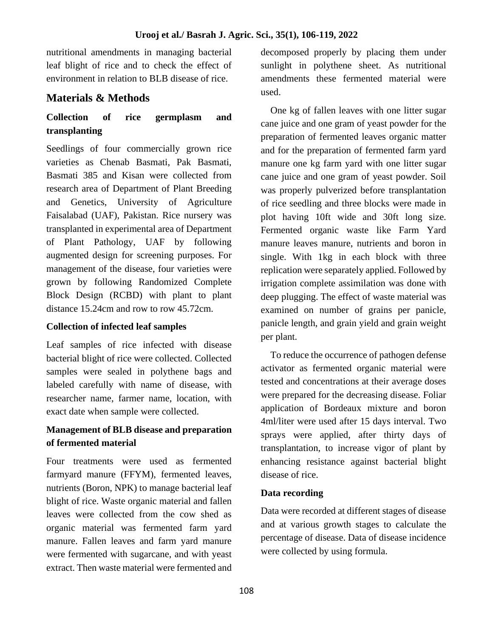nutritional amendments in managing bacterial leaf blight of rice and to check the effect of environment in relation to BLB disease of rice.

# **Materials & Methods**

## **Collection of rice germplasm and transplanting**

Seedlings of four commercially grown rice varieties as Chenab Basmati, Pak Basmati, Basmati 385 and Kisan were collected from research area of Department of Plant Breeding and Genetics, University of Agriculture Faisalabad (UAF), Pakistan. Rice nursery was transplanted in experimental area of Department of Plant Pathology, UAF by following augmented design for screening purposes. For management of the disease, four varieties were grown by following Randomized Complete Block Design (RCBD) with plant to plant distance 15.24cm and row to row 45.72cm.

### **Collection of infected leaf samples**

Leaf samples of rice infected with disease bacterial blight of rice were collected. Collected samples were sealed in polythene bags and labeled carefully with name of disease, with researcher name, farmer name, location, with exact date when sample were collected.

## **Management of BLB disease and preparation of fermented material**

Four treatments were used as fermented farmyard manure (FFYM), fermented leaves, nutrients (Boron, NPK) to manage bacterial leaf blight of rice. Waste organic material and fallen leaves were collected from the cow shed as organic material was fermented farm yard manure. Fallen leaves and farm yard manure were fermented with sugarcane, and with yeast extract. Then waste material were fermented and

decomposed properly by placing them under sunlight in polythene sheet. As nutritional amendments these fermented material were used.

 One kg of fallen leaves with one litter sugar cane juice and one gram of yeast powder for the preparation of fermented leaves organic matter and for the preparation of fermented farm yard manure one kg farm yard with one litter sugar cane juice and one gram of yeast powder. Soil was properly pulverized before transplantation of rice seedling and three blocks were made in plot having 10ft wide and 30ft long size. Fermented organic waste like Farm Yard manure leaves manure, nutrients and boron in single. With 1kg in each block with three replication were separately applied. Followed by irrigation complete assimilation was done with deep plugging. The effect of waste material was examined on number of grains per panicle, panicle length, and grain yield and grain weight per plant.

 To reduce the occurrence of pathogen defense activator as fermented organic material were tested and concentrations at their average doses were prepared for the decreasing disease. Foliar application of Bordeaux mixture and boron 4ml/liter were used after 15 days interval. Two sprays were applied, after thirty days of transplantation, to increase vigor of plant by enhancing resistance against bacterial blight disease of rice.

## **Data recording**

Data were recorded at different stages of disease and at various growth stages to calculate the percentage of disease. Data of disease incidence were collected by using formula.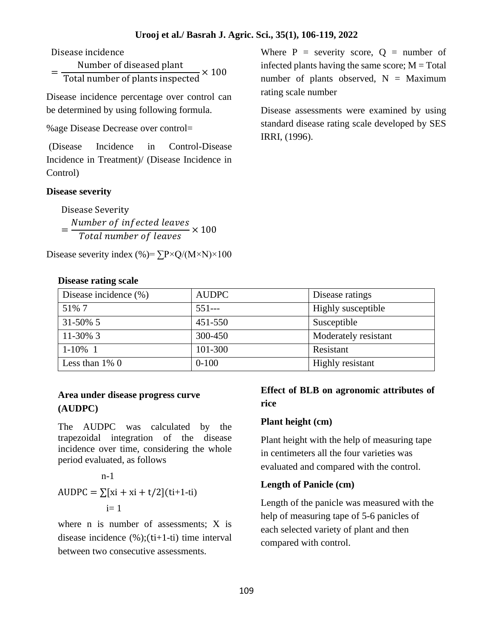Disease incidence

= Number of diseased plant Total number of plants inspected  $\times 100$ 

Disease incidence percentage over control can be determined by using following formula.

%age Disease Decrease over control=

(Disease Incidence in Control-Disease Incidence in Treatment)/ (Disease Incidence in Control)

#### **Disease severity**

Disease Severity = Number of infected leaves  $\frac{m}{\pi}$   $\times$  100<br>Total number of leaves  $\times$  100

Disease severity index (%)=  $\Sigma P \times Q/(M \times N) \times 100$ 

#### **Disease rating scale**

Where  $P =$  severity score,  $Q =$  number of infected plants having the same score;  $M = Total$ number of plants observed,  $N =$  Maximum rating scale number

Disease assessments were examined by using standard disease rating scale developed by SES IRRI, (1996).

| Disease incidence $(\% )$ | <b>AUDPC</b> | Disease ratings      |
|---------------------------|--------------|----------------------|
| 51\% 7                    | $551--$      | Highly susceptible   |
| $31 - 50\%$ 5             | 451-550      | Susceptible          |
| $11 - 30\%$ 3             | 300-450      | Moderately resistant |
| $1 - 10\%$ 1              | 101-300      | Resistant            |
| Less than $1\%$ 0         | $0 - 100$    | Highly resistant     |

### **Area under disease progress curve (AUDPC)**

The AUDPC was calculated by the trapezoidal integration of the disease incidence over time, considering the whole period evaluated, as follows

$$
n-1
$$
  
AUDPC =  $\sum [xi + xi + t/2](ti+1-it)$   
i= 1

where n is number of assessments: X is disease incidence  $(\%)(\text{ti+1-ti})$  time interval between two consecutive assessments.

### **Effect of BLB on agronomic attributes of rice**

### **Plant height (cm)**

Plant height with the help of measuring tape in centimeters all the four varieties was evaluated and compared with the control.

### **Length of Panicle (cm)**

Length of the panicle was measured with the help of measuring tape of 5-6 panicles of each selected variety of plant and then compared with control.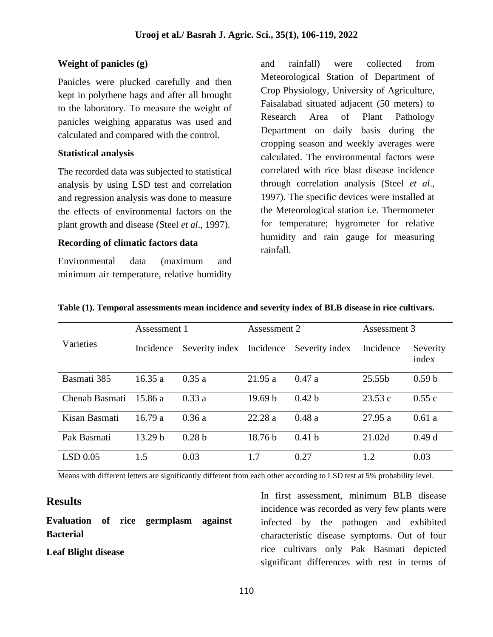### **Weight of panicles (g)**

Panicles were plucked carefully and then kept in polythene bags and after all brought to the laboratory. To measure the weight of panicles weighing apparatus was used and calculated and compared with the control.

#### **Statistical analysis**

The recorded data was subjected to statistical analysis by using LSD test and correlation and regression analysis was done to measure the effects of environmental factors on the plant growth and disease (Steel *et al*., 1997).

#### **Recording of climatic factors data**

Environmental data (maximum and minimum air temperature, relative humidity and rainfall) were collected from Meteorological Station of Department of Crop Physiology, University of Agriculture, Faisalabad situated adjacent (50 meters) to Research Area of Plant Pathology Department on daily basis during the cropping season and weekly averages were calculated. The environmental factors were correlated with rice blast disease incidence through correlation analysis (Steel *et al*., 1997). The specific devices were installed at the Meteorological station i.e. Thermometer for temperature; hygrometer for relative humidity and rain gauge for measuring rainfall.

|                | Assessment 1       |                   | Assessment 2       |                   | Assessment 3 |                   |  |
|----------------|--------------------|-------------------|--------------------|-------------------|--------------|-------------------|--|
| Varieties      | Incidence          | Severity index    | Incidence          | Severity index    | Incidence    | Severity<br>index |  |
| Basmati 385    | 16.35a             | 0.35a             | 21.95a             | 0.47a             | 25.55b       | 0.59 <sub>b</sub> |  |
| Chenab Basmati | 15.86 a            | 0.33a             | 19.69 <sub>b</sub> | 0.42 <sub>b</sub> | 23.53c       | 0.55c             |  |
| Kisan Basmati  | 16.79a             | 0.36a             | 22.28a             | 0.48a             | 27.95 a      | 0.61a             |  |
| Pak Basmati    | 13.29 <sub>b</sub> | 0.28 <sub>b</sub> | 18.76 b            | 0.41 <sub>b</sub> | 21.02d       | 0.49d             |  |
| $LSD$ 0.05     | 1.5                | 0.03              | 1.7                | 0.27              | 1.2          | 0.03              |  |

|  | Table (1). Temporal assessments mean incidence and severity index of BLB disease in rice cultivars. |  |  |
|--|-----------------------------------------------------------------------------------------------------|--|--|
|--|-----------------------------------------------------------------------------------------------------|--|--|

Means with different letters are significantly different from each other according to LSD test at 5% probability level.

## **Results**

**Evaluation of rice germplasm against Bacterial** 

### **Leaf Blight disease**

In first assessment, minimum BLB disease incidence was recorded as very few plants were infected by the pathogen and exhibited characteristic disease symptoms. Out of four rice cultivars only Pak Basmati depicted significant differences with rest in terms of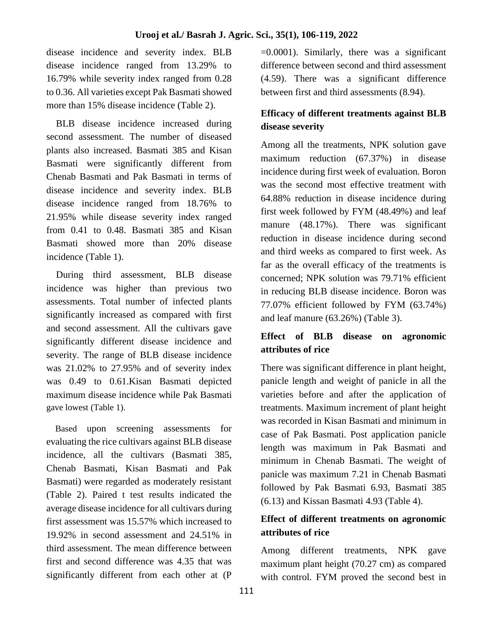disease incidence and severity index. BLB disease incidence ranged from 13.29% to 16.79% while severity index ranged from 0.28 to 0.36. All varieties except Pak Basmati showed more than 15% disease incidence (Table 2).

 BLB disease incidence increased during second assessment. The number of diseased plants also increased. Basmati 385 and Kisan Basmati were significantly different from Chenab Basmati and Pak Basmati in terms of disease incidence and severity index. BLB disease incidence ranged from 18.76% to 21.95% while disease severity index ranged from 0.41 to 0.48. Basmati 385 and Kisan Basmati showed more than 20% disease incidence (Table 1).

 During third assessment, BLB disease incidence was higher than previous two assessments. Total number of infected plants significantly increased as compared with first and second assessment. All the cultivars gave significantly different disease incidence and severity. The range of BLB disease incidence was 21.02% to 27.95% and of severity index was 0.49 to 0.61.Kisan Basmati depicted maximum disease incidence while Pak Basmati gave lowest (Table 1).

 Based upon screening assessments for evaluating the rice cultivars against BLB disease incidence, all the cultivars (Basmati 385, Chenab Basmati, Kisan Basmati and Pak Basmati) were regarded as moderately resistant (Table 2). Paired t test results indicated the average disease incidence for all cultivars during first assessment was 15.57% which increased to 19.92% in second assessment and 24.51% in third assessment. The mean difference between first and second difference was 4.35 that was significantly different from each other at (P

 $=0.0001$ ). Similarly, there was a significant difference between second and third assessment (4.59). There was a significant difference between first and third assessments (8.94).

## **Efficacy of different treatments against BLB disease severity**

Among all the treatments, NPK solution gave maximum reduction (67.37%) in disease incidence during first week of evaluation. Boron was the second most effective treatment with 64.88% reduction in disease incidence during first week followed by FYM (48.49%) and leaf manure (48.17%). There was significant reduction in disease incidence during second and third weeks as compared to first week. As far as the overall efficacy of the treatments is concerned; NPK solution was 79.71% efficient in reducing BLB disease incidence. Boron was 77.07% efficient followed by FYM (63.74%) and leaf manure (63.26%) (Table 3).

## **Effect of BLB disease on agronomic attributes of rice**

There was significant difference in plant height, panicle length and weight of panicle in all the varieties before and after the application of treatments. Maximum increment of plant height was recorded in Kisan Basmati and minimum in case of Pak Basmati. Post application panicle length was maximum in Pak Basmati and minimum in Chenab Basmati. The weight of panicle was maximum 7.21 in Chenab Basmati followed by Pak Basmati 6.93, Basmati 385 (6.13) and Kissan Basmati 4.93 (Table 4).

## **Effect of different treatments on agronomic attributes of rice**

Among different treatments, NPK gave maximum plant height (70.27 cm) as compared with control. FYM proved the second best in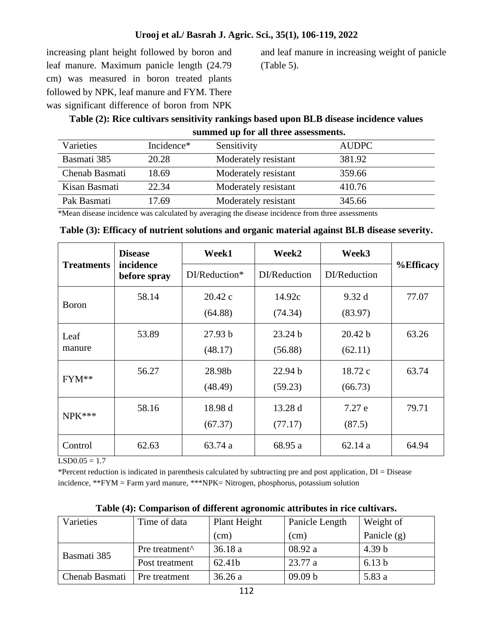increasing plant height followed by boron and leaf manure. Maximum panicle length (24.79 cm) was measured in boron treated plants followed by NPK, leaf manure and FYM. There was significant difference of boron from NPK

and leaf manure in increasing weight of panicle (Table 5).

## **Table (2): Rice cultivars sensitivity rankings based upon BLB disease incidence values summed up for all three assessments.**

| Varieties      | Incidence* | Sensitivity          | <b>AUDPC</b> |
|----------------|------------|----------------------|--------------|
| Basmati 385    | 20.28      | Moderately resistant | 381.92       |
| Chenab Basmati | 18.69      | Moderately resistant | 359.66       |
| Kisan Basmati  | 22.34      | Moderately resistant | 410.76       |
| Pak Basmati    | 17.69      | Moderately resistant | 345.66       |

\*Mean disease incidence was calculated by averaging the disease incidence from three assessments

|  |  | Table (3): Efficacy of nutrient solutions and organic material against BLB disease severity. |  |  |  |
|--|--|----------------------------------------------------------------------------------------------|--|--|--|
|  |  |                                                                                              |  |  |  |
|  |  |                                                                                              |  |  |  |

|                   | <b>Disease</b>            | Week1         | Week2        | Week3        |                  |
|-------------------|---------------------------|---------------|--------------|--------------|------------------|
| <b>Treatments</b> | incidence<br>before spray | DI/Reduction* | DI/Reduction | DI/Reduction | <b>%Efficacy</b> |
| <b>Boron</b>      | 58.14                     | 20.42c        | 14.92c       | 9.32d        | 77.07            |
|                   |                           | (64.88)       | (74.34)      | (83.97)      |                  |
| Leaf              | 53.89                     | 27.93 b       | 23.24 b      | 20.42 b      | 63.26            |
| manure            |                           | (48.17)       | (56.88)      | (62.11)      |                  |
| FYM**             | 56.27                     | 28.98b        | 22.94 b      | 18.72 c      | 63.74            |
|                   |                           | (48.49)       | (59.23)      | (66.73)      |                  |
| $NPK***$          | 58.16                     | 18.98 d       | 13.28d       | 7.27e        | 79.71            |
|                   |                           | (67.37)       | (77.17)      | (87.5)       |                  |
| Control           | 62.63                     | 63.74 a       | 68.95 a      | 62.14a       | 64.94            |

 $LSD0.05 = 1.7$ 

\*Percent reduction is indicated in parenthesis calculated by subtracting pre and post application, DI = Disease incidence, \*\*FYM = Farm yard manure, \*\*\*NPK= Nitrogen, phosphorus, potassium solution

| Varieties      | Time of data                                 | Plant Height | Panicle Length | Weight of         |  |
|----------------|----------------------------------------------|--------------|----------------|-------------------|--|
|                |                                              | (cm)         | (cm)           | Panicle $(g)$     |  |
| Basmati 385    | Pre treatment <sup><math>\wedge</math></sup> | 36.18a       | 08.92 a        | 4.39 <sub>b</sub> |  |
|                | Post treatment                               | 62.41b       | 23.77a         | 6.13 <sub>b</sub> |  |
| Chenab Basmati | Pre treatment                                | 36.26a       | 09.09 b        | 5.83 a            |  |

**Table (4): Comparison of different agronomic attributes in rice cultivars.**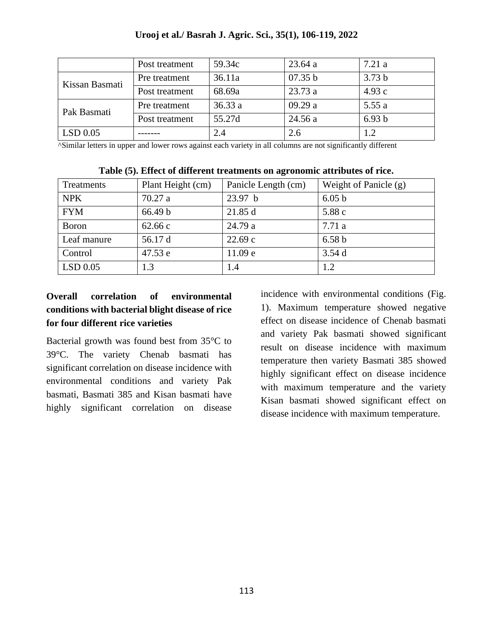|                | Post treatment | 59.34c | 23.64a  | 7.21 a            |
|----------------|----------------|--------|---------|-------------------|
| Kissan Basmati | Pre treatment  | 36.11a | 07.35 b | 3.73 <sub>b</sub> |
|                | Post treatment | 68.69a | 23.73a  | 4.93c             |
| Pak Basmati    | Pre treatment  | 36.33a | 09.29a  | 5.55a             |
|                | Post treatment | 55.27d | 24.56a  | 6.93 b            |
| LSD 0.05       |                | 2.4    | 2.6     | 1.2               |

^Similar letters in upper and lower rows against each variety in all columns are not significantly different

| Treatments  | Plant Height (cm) | Panicle Length (cm) | Weight of Panicle $(g)$ |
|-------------|-------------------|---------------------|-------------------------|
| <b>NPK</b>  | 70.27a            | 23.97 b             | 6.05 <sub>b</sub>       |
| <b>FYM</b>  | 66.49 b           | 21.85 d             | 5.88 c                  |
| Boron       | 62.66c            | 24.79 a             | 7.71a                   |
| Leaf manure | 56.17 d           | 22.69c              | 6.58 <sub>b</sub>       |
| Control     | 47.53 e           | 11.09 e             | 3.54d                   |
| LSD 0.05    | 1.3               | 1.4                 | 1.2                     |

|  |  |  |  |  | Table (5). Effect of different treatments on agronomic attributes of rice. |  |  |
|--|--|--|--|--|----------------------------------------------------------------------------|--|--|
|  |  |  |  |  |                                                                            |  |  |

## **Overall correlation of environmental conditions with bacterial blight disease of rice for four different rice varieties**

Bacterial growth was found best from 35°C to 39°C. The variety Chenab basmati has significant correlation on disease incidence with environmental conditions and variety Pak basmati, Basmati 385 and Kisan basmati have highly significant correlation on disease incidence with environmental conditions (Fig. 1). Maximum temperature showed negative effect on disease incidence of Chenab basmati and variety Pak basmati showed significant result on disease incidence with maximum temperature then variety Basmati 385 showed highly significant effect on disease incidence with maximum temperature and the variety Kisan basmati showed significant effect on disease incidence with maximum temperature.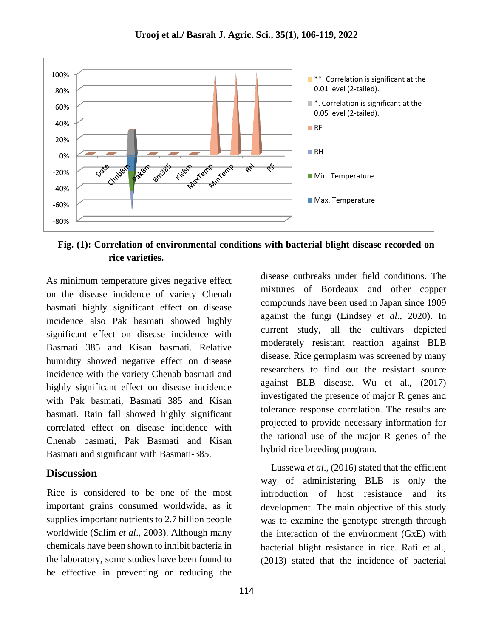

**Fig. (1): Correlation of environmental conditions with bacterial blight disease recorded on rice varieties.**

As minimum temperature gives negative effect on the disease incidence of variety Chenab basmati highly significant effect on disease incidence also Pak basmati showed highly significant effect on disease incidence with Basmati 385 and Kisan basmati. Relative humidity showed negative effect on disease incidence with the variety Chenab basmati and highly significant effect on disease incidence with Pak basmati, Basmati 385 and Kisan basmati. Rain fall showed highly significant correlated effect on disease incidence with Chenab basmati, Pak Basmati and Kisan Basmati and significant with Basmati-385.

### **Discussion**

Rice is considered to be one of the most important grains consumed worldwide, as it supplies important nutrients to 2.7 billion people worldwide (Salim *et al*., 2003). Although many chemicals have been shown to inhibit bacteria in the laboratory, some studies have been found to be effective in preventing or reducing the

disease outbreaks under field conditions. The mixtures of Bordeaux and other copper compounds have been used in Japan since 1909 against the fungi (Lindsey *et al*., 2020). In current study, all the cultivars depicted moderately resistant reaction against BLB disease. Rice germplasm was screened by many researchers to find out the resistant source against BLB disease. Wu et al., (2017) investigated the presence of major R genes and tolerance response correlation. The results are projected to provide necessary information for the rational use of the major R genes of the hybrid rice breeding program.

 Lussewa *et al*., (2016) stated that the efficient way of administering BLB is only the introduction of host resistance and its development. The main objective of this study was to examine the genotype strength through the interaction of the environment (GxE) with bacterial blight resistance in rice. Rafi et al., (2013) stated that the incidence of bacterial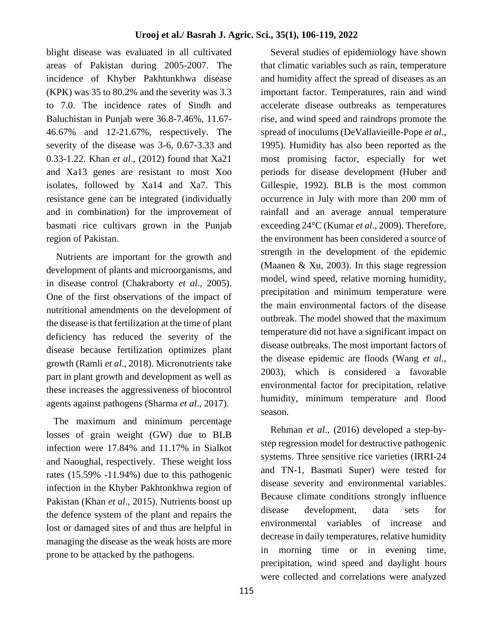blight disease was evaluated in all cultivated areas of Pakistan during 2005-2007. The incidence of Khyber Pakhtunkhwa disease (KPK) was 35 to 80.2% and the severity was 3.3 to 7.0. The incidence rates of Sindh and Baluchistan in Punjab were 36.8-7.46%, 11.67- 46.67% and 12-21.67%, respectively. The severity of the disease was 3-6, 0.67-3.33 and 0.33-1.22. Khan *et al*., (2012) found that Xa21 and Xa13 genes are resistant to most Xoo isolates, followed by Xa14 and Xa7. This resistance gene can be integrated (individually and in combination) for the improvement of basmati rice cultivars grown in the Punjab region of Pakistan.

 Nutrients are important for the growth and development of plants and microorganisms, and in disease control (Chakraborty *et al*., 2005). One of the first observations of the impact of nutritional amendments on the development of the disease is that fertilization at the time of plant deficiency has reduced the severity of the disease because fertilization optimizes plant growth (Ramli *et al*., 2018). Micronutrients take part in plant growth and development as well as these increases the aggressiveness of biocontrol agents against pathogens (Sharma *et al*., 2017).

 The maximum and minimum percentage losses of grain weight (GW) due to BLB infection were 17.84% and 11.17% in Sialkot and Naoughal, respectively. These weight loss rates (15.59% -11.94%) due to this pathogenic infection in the Khyber Pakhtonkhwa region of Pakistan (Khan *et al*., 2015). Nutrients boost up the defence system of the plant and repairs the lost or damaged sites of and thus are helpful in managing the disease as the weak hosts are more prone to be attacked by the pathogens.

 Several studies of epidemiology have shown that climatic variables such as rain, temperature and humidity affect the spread of diseases as an important factor. Temperatures, rain and wind accelerate disease outbreaks as temperatures rise, and wind speed and raindrops promote the spread of inoculums (DeVallavieille-Pope *et al*., 1995). Humidity has also been reported as the most promising factor, especially for wet periods for disease development (Huber and Gillespie, 1992). BLB is the most common occurrence in July with more than 200 mm of rainfall and an average annual temperature exceeding 24°C (Kumar *et al*., 2009). Therefore, the environment has been considered a source of strength in the development of the epidemic (Maanen & Xu, 2003). In this stage regression model, wind speed, relative morning humidity, precipitation and minimum temperature were the main environmental factors of the disease outbreak. The model showed that the maximum temperature did not have a significant impact on disease outbreaks. The most important factors of the disease epidemic are floods (Wang *et al*., 2003), which is considered a favorable environmental factor for precipitation, relative humidity, minimum temperature and flood season.

 Rehman *et al*., (2016) developed a step-bystep regression model for destructive pathogenic systems. Three sensitive rice varieties (IRRI-24 and TN-1, Basmati Super) were tested for disease severity and environmental variables. Because climate conditions strongly influence disease development, data sets for environmental variables of increase and decrease in daily temperatures, relative humidity in morning time or in evening time, precipitation, wind speed and daylight hours were collected and correlations were analyzed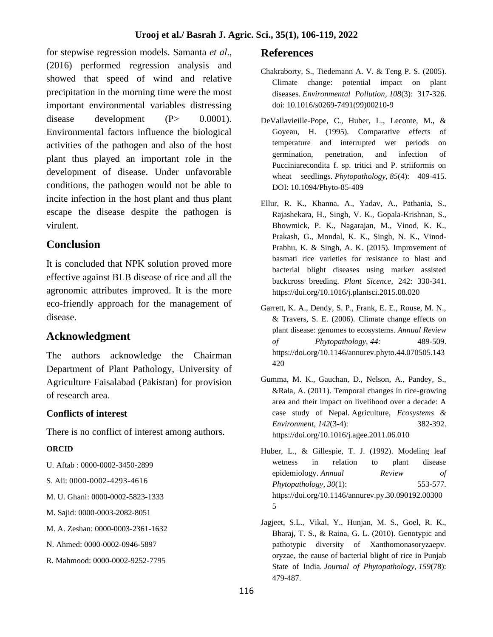for stepwise regression models. Samanta *et al*., (2016) performed regression analysis and showed that speed of wind and relative precipitation in the morning time were the most important environmental variables distressing disease development  $(P> 0.0001)$ . Environmental factors influence the biological activities of the pathogen and also of the host plant thus played an important role in the development of disease. Under unfavorable conditions, the pathogen would not be able to incite infection in the host plant and thus plant escape the disease despite the pathogen is virulent.

## **Conclusion**

It is concluded that NPK solution proved more effective against BLB disease of rice and all the agronomic attributes improved. It is the more eco-friendly approach for the management of disease.

## **Acknowledgment**

The authors acknowledge the Chairman Department of Plant Pathology, University of Agriculture Faisalabad (Pakistan) for provision of research area.

### **Conflicts of interest**

There is no conflict of interest among authors.

### **ORCID**

- U. Aftab : 0000-0002-3450-2899
- S. Ali: 0000-0002-4293-4616
- M. U. Ghani: 0000-0002-5823-1333
- M. Sajid: 0000-0003-2082-8051
- M. A. Zeshan: [0000-0003-2361-1632](https://orcid.org/0000-0003-2361-1632)
- N. Ahmed: 0000-0002-0946-5897
- R. Mahmood: 0000-0002-9252-7795

### **References**

- Chakraborty, S., Tiedemann A. V. & Teng P. S. (2005). Climate change: potential impact on plant diseases. *Environmental Pollution, 108*(3): 317-326. doi: 10.1016/s0269-7491(99)00210-9
- DeVallavieille-Pope, C., Huber, L., Leconte, M., & Goyeau, H. (1995). Comparative effects of temperature and interrupted wet periods on germination, penetration, and infection of Pucciniarecondita f. sp. tritici and P. striiformis on wheat seedlings. *Phytopathology, 85*(4): 409-415. DOI: 10.1094/Phyto-85-409
- Ellur, R. K., Khanna, A., Yadav, A., Pathania, S., Rajashekara, H., Singh, V. K., Gopala-Krishnan, S., Bhowmick, P. K., Nagarajan, M., Vinod, K. K., Prakash, G., Mondal, K. K., Singh, N. K., Vinod-Prabhu, K. & Singh, A. K. (2015). Improvement of basmati rice varieties for resistance to blast and bacterial blight diseases using marker assisted backcross breeding. *Plant Sicence,* 242: 330-341. https://doi.org/10.1016/j.plantsci.2015.08.020
- Garrett, K. A., Dendy, S. P., Frank, E. E., Rouse, M. N., & Travers, S. E. (2006). Climate change effects on plant disease: genomes to ecosystems. *Annual Review of Phytopathology, 44:* 489-509. https://doi.org/10.1146/annurev.phyto.44.070505.143 420
- Gumma, M. K., Gauchan, D., Nelson, A., Pandey, S., &Rala, A. (2011). Temporal changes in rice-growing area and their impact on livelihood over a decade: A case study of Nepal. Agriculture, *Ecosystems & Environment, 142*(3-4): 382-392. https://doi.org/10.1016/j.agee.2011.06.010
- Huber, L., & Gillespie, T. J. (1992). Modeling leaf wetness in relation to plant disease epidemiology. *Annual Review of Phytopathology, 30*(1): 553-577. https://doi.org/10.1146/annurev.py.30.090192.00300 5
- Jagjeet, S.L., Vikal, Y., Hunjan, M. S., Goel, R. K., Bharaj, T. S., & Raina, G. L. (2010). Genotypic and pathotypic diversity of Xanthomonasoryzaepv. oryzae, the cause of bacterial blight of rice in Punjab State of India. *Journal of Phytopathology, 159*(78): 479-487.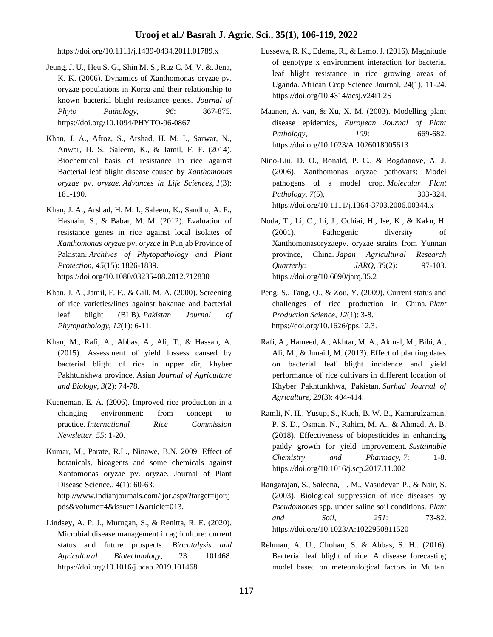<https://doi.org/10.1111/j.1439-0434.2011.01789.x>

- Jeung, J. U., Heu S. G., Shin M. S., Ruz C. M. V. &. Jena, K. K. (2006). Dynamics of Xanthomonas oryzae pv. oryzae populations in Korea and their relationship to known bacterial blight resistance genes. *Journal of Phyto Pathology, 96*: 867-875. https://doi.org/10.1094/PHYTO-96-0867
- Khan, J. A., Afroz, S., Arshad, H. M. I., Sarwar, N., Anwar, H. S., Saleem, K., & Jamil, F. F. (2014). Biochemical basis of resistance in rice against Bacterial leaf blight disease caused by *Xanthomonas oryzae* pv. *oryzae*. *Advances in Life Sciences*, *1*(3): 181-190.
- Khan, J. A., Arshad, H. M. I., Saleem, K., Sandhu, A. F., Hasnain, S., & Babar, M. M. (2012). Evaluation of resistance genes in rice against local isolates of *Xanthomonas oryzae* pv. *oryzae* in Punjab Province of Pakistan. *Archives of Phytopathology and Plant Protection, 45*(15): 1826-1839. <https://doi.org/10.1080/03235408.2012.712830>
- Khan, J. A., Jamil, F. F., & Gill, M. A. (2000). Screening of rice varieties/lines against bakanae and bacterial leaf blight (BLB). *Pakistan Journal of Phytopathology, 12*(1): 6-11.
- Khan, M., Rafi, A., Abbas, A., Ali, T., & Hassan, A. (2015). Assessment of yield lossess caused by bacterial blight of rice in upper dir, khyber Pakhtunkhwa province. Asian *Journal of Agriculture and Biology, 3*(2): 74-78.
- Kueneman, E. A. (2006). Improved rice production in a changing environment: from concept to practice. *International Rice Commission Newsletter, 55*: 1-20.
- Kumar, M., Parate, R.L., Ninawe, B.N. 2009. Effect of botanicals, bioagents and some chemicals against Xantomonas oryzae pv. oryzae. Journal of Plant Disease Science., 4(1): 60-63. http://www.indianjournals.com/ijor.aspx?target=ijor:j pds&volume=4&issue=1&article=013.
- Lindsey, A. P. J., Murugan, S., & Renitta, R. E. (2020). Microbial disease management in agriculture: current status and future prospects. *Biocatalysis and Agricultural Biotechnology*, 23: 101468. https://doi.org/10.1016/j.bcab.2019.101468
- Lussewa, R. K., Edema, R., & Lamo, J. (2016). Magnitude of genotype x environment interaction for bacterial leaf blight resistance in rice growing areas of Uganda. African Crop Science Journal, 24(1), 11-24. https://doi.org/10.4314/acsj.v24i1.2S
- Maanen, A. van, & Xu, X. M. (2003). Modelling plant disease epidemics, *European Journal of Plant Pathology*, *109*: 669-682. https://doi.org/10.1023/A:1026018005613
- Nino-Liu, D. O., Ronald, P. C., & Bogdanove, A. J. (2006). Xanthomonas oryzae pathovars: Model pathogens of a model crop. *Molecular Plant Pathology, 7*(5), 303-324. https://doi.org/10.1111/j.1364-3703.2006.00344.x
- Noda, T., Li, C., Li, J., Ochiai, H., Ise, K., & Kaku, H. (2001). Pathogenic diversity of Xanthomonasoryzaepv. oryzae strains from Yunnan province, China. *Japan Agricultural Research Quarterly*: *JARQ, 35*(2): 97-103. https://doi.org/10.6090/jarq.35.2
- Peng, S., Tang, Q., & Zou, Y. (2009). Current status and challenges of rice production in China. *Plant Production Science, 12*(1): 3-8. [https://doi.org/10.1626/pps.12.3.](https://doi.org/10.1626/pps.12.3)
- Rafi, A., Hameed, A., Akhtar, M. A., Akmal, M., Bibi, A., Ali, M., & Junaid, M. (2013). Effect of planting dates on bacterial leaf blight incidence and yield performance of rice cultivars in different location of Khyber Pakhtunkhwa, Pakistan. *Sarhad Journal of Agriculture, 29*(3): 404-414.
- Ramli, N. H., Yusup, S., Kueh, B. W. B., Kamarulzaman, P. S. D., Osman, N., Rahim, M. A., & Ahmad, A. B. (2018). Effectiveness of biopesticides in enhancing paddy growth for yield improvement. *Sustainable Chemistry and Pharmacy, 7*: 1-8. https://doi.org/10.1016/j.scp.2017.11.002
- Rangarajan, S., Saleena, L. M., Vasudevan P., & Nair, S. (2003). Biological suppression of rice diseases by *Pseudomonas* spp. under saline soil conditions. *Plant and Soil*, *251*: 73-82. https://doi.org/10.1023/A:1022950811520
- Rehman, A. U., Chohan, S. & Abbas, S. H.. (2016). Bacterial leaf blight of rice: A disease forecasting model based on meteorological factors in Multan.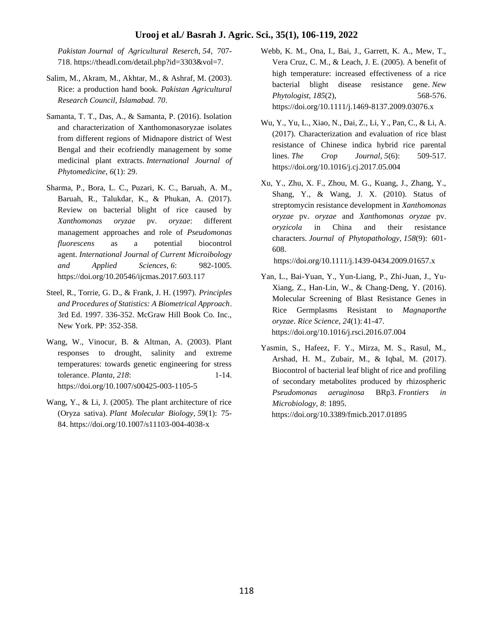*Pakistan Journal of Agricultural Reserch, 54*, 707- 718. https://theadl.com/detail.php?id=3303&vol=7.

- Salim, M., Akram, M., Akhtar, M., & Ashraf, M. (2003). Rice: a production hand book. *Pakistan Agricultural Research Council, Islamabad. 70*.
- Samanta, T. T., Das, A., & Samanta, P. (2016). Isolation and characterization of Xanthomonasoryzae isolates from different regions of Midnapore district of West Bengal and their ecofriendly management by some medicinal plant extracts. *International Journal of Phytomedicine, 6*(1): 29.
- Sharma, P., Bora, L. C., Puzari, K. C., Baruah, A. M., Baruah, R., Talukdar, K., & Phukan, A. (2017). Review on bacterial blight of rice caused by *Xanthomonas oryzae* pv. *oryzae*: different management approaches and role of *Pseudomonas fluorescens* as a potential biocontrol agent. *International Journal of Current Microibology and Applied Sciences, 6*: 982-1005. <https://doi.org/10.20546/ijcmas.2017.603.117>
- Steel, R., Torrie, G. D., & Frank, J. H. (1997). *Principles and Procedures of Statistics: A Biometrical Approach*. 3rd Ed. 1997. 336-352. McGraw Hill Book Co. Inc., New York. PP: 352-358.
- Wang, W., Vinocur, B. & Altman, A. (2003). Plant responses to drought, salinity and extreme temperatures: towards genetic engineering for stress tolerance. *Planta*, *218*: 1-14. https://doi.org/10.1007/s00425-003-1105-5
- Wang, Y., & Li, J. (2005). The plant architecture of rice (Oryza sativa). *Plant Molecular Biology, 59*(1): 75- 84. https://doi.org/10.1007/s11103-004-4038-x
- Webb, K. M., Ona, I., Bai, J., Garrett, K. A., Mew, T., Vera Cruz, C. M., & Leach, J. E. (2005). A benefit of high temperature: increased effectiveness of a rice bacterial blight disease resistance gene. *New Phytologist, 185*(2), 568-576. <https://doi.org/10.1111/j.1469-8137.2009.03076.x>
- Wu, Y., Yu, L., Xiao, N., Dai, Z., Li, Y., Pan, C., & Li, A. (2017). Characterization and evaluation of rice blast resistance of Chinese indica hybrid rice parental lines. *The Crop Journal, 5*(6): 509-517. https://doi.org/10.1016/j.cj.2017.05.004
- Xu, Y., Zhu, X. F., Zhou, M. G., Kuang, J., Zhang, Y., Shang, Y., & Wang, J. X. (2010). Status of streptomycin resistance development in *Xanthomonas oryzae* pv. *oryzae* and *Xanthomonas oryzae* pv. *oryzicola* in China and their resistance characters. *Journal of Phytopathology, 158*(9): 601- 608.

<https://doi.org/10.1111/j.1439-0434.2009.01657.x>

- Yan, L., Bai-Yuan, Y., Yun-Liang, P., Zhi-Juan, J., Yu-Xiang, Z., Han-Lin, W., & Chang-Deng, Y. (2016). Molecular Screening of Blast Resistance Genes in Rice Germplasms Resistant to *Magnaporthe oryzae*. *Rice Science, 24*(1): 41-47. <https://doi.org/10.1016/j.rsci.2016.07.004>
- Yasmin, S., Hafeez, F. Y., Mirza, M. S., Rasul, M., Arshad, H. M., Zubair, M., & Iqbal, M. (2017). Biocontrol of bacterial leaf blight of rice and profiling of secondary metabolites produced by rhizospheric *Pseudomonas aeruginosa* BRp3. *Frontiers in Microbiology, 8*: 1895. <https://doi.org/10.3389/fmicb.2017.01895>

118